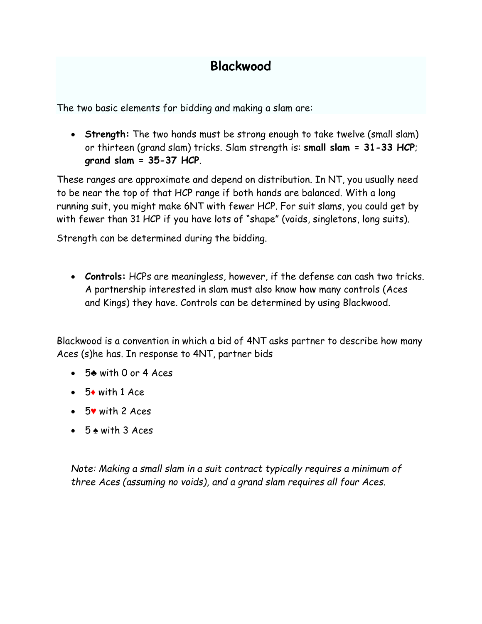## **Blackwood**

The two basic elements for bidding and making a slam are:

• **Strength:** The two hands must be strong enough to take twelve (small slam) or thirteen (grand slam) tricks. Slam strength is: **small slam = 31-33 HCP**; **grand slam = 35-37 HCP**.

These ranges are approximate and depend on distribution. In NT, you usually need to be near the top of that HCP range if both hands are balanced. With a long running suit, you might make 6NT with fewer HCP. For suit slams, you could get by with fewer than 31 HCP if you have lots of "shape" (voids, singletons, long suits).

Strength can be determined during the bidding.

• **Controls:** HCPs are meaningless, however, if the defense can cash two tricks. A partnership interested in slam must also know how many controls (Aces and Kings) they have. Controls can be determined by using Blackwood.

Blackwood is a convention in which a bid of 4NT asks partner to describe how many Aces (s)he has. In response to 4NT, partner bids

- 5♣ with 0 or 4 Aces
- $\bullet$  5 $\bullet$  with 1 Ace
- 5♥ with 2 Aces
- 5 ♠ with 3 Aces

*Note: Making a small slam in a suit contract typically requires a minimum of three Aces (assuming no voids), and a grand slam requires all four Aces.*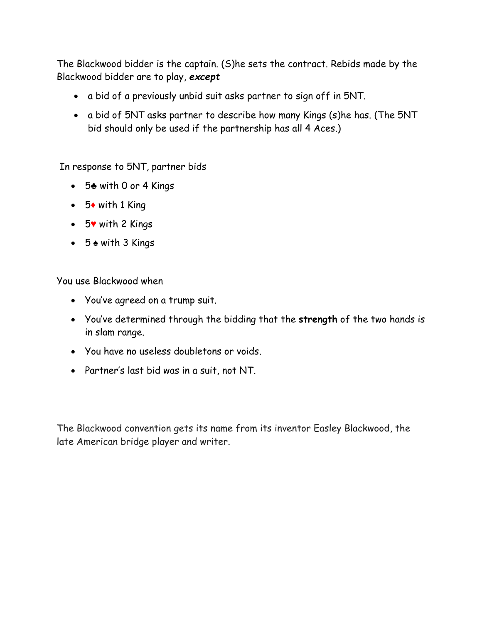The Blackwood bidder is the captain. (S)he sets the contract. Rebids made by the Blackwood bidder are to play, *except*

- a bid of a previously unbid suit asks partner to sign off in 5NT.
- a bid of 5NT asks partner to describe how many Kings (s)he has. (The 5NT bid should only be used if the partnership has all 4 Aces.)

In response to 5NT, partner bids

- 5♣ with 0 or 4 Kings
- $\bullet$  5 $\bullet$  with 1 King
- 5♥ with 2 Kings
- 5 ♠ with 3 Kings

You use Blackwood when

- You've agreed on a trump suit.
- You've determined through the bidding that the **strength** of the two hands is in slam range.
- You have no useless doubletons or voids.
- Partner's last bid was in a suit, not NT.

The Blackwood convention gets its name from its inventor Easley Blackwood, the late American bridge player and writer.